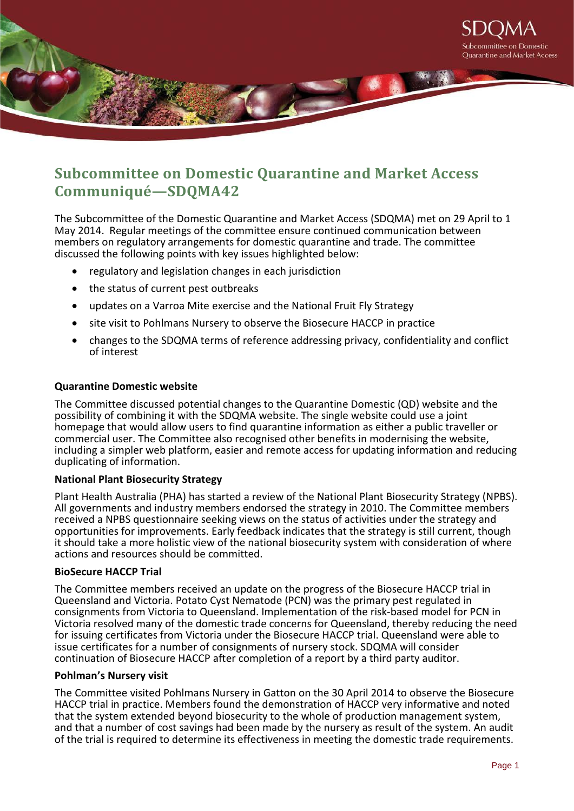

# **Subcommittee on Domestic Quarantine and Market Access Communiqué—SDQMA42**

The Subcommittee of the Domestic Quarantine and Market Access (SDQMA) met on 29 April to 1 May 2014. Regular meetings of the committee ensure continued communication between members on regulatory arrangements for domestic quarantine and trade. The committee discussed the following points with key issues highlighted below:

- regulatory and legislation changes in each jurisdiction
- the status of current pest outbreaks
- updates on a Varroa Mite exercise and the National Fruit Fly Strategy
- site visit to Pohlmans Nursery to observe the Biosecure HACCP in practice
- changes to the SDQMA terms of reference addressing privacy, confidentiality and conflict of interest

## **Quarantine Domestic website**

The Committee discussed potential changes to the Quarantine Domestic (QD) website and the possibility of combining it with the SDQMA website. The single website could use a joint homepage that would allow users to find quarantine information as either a public traveller or commercial user. The Committee also recognised other benefits in modernising the website, including a simpler web platform, easier and remote access for updating information and reducing duplicating of information.

## **National Plant Biosecurity Strategy**

Plant Health Australia (PHA) has started a review of the National Plant Biosecurity Strategy (NPBS). All governments and industry members endorsed the strategy in 2010. The Committee members received a NPBS questionnaire seeking views on the status of activities under the strategy and opportunities for improvements. Early feedback indicates that the strategy is still current, though it should take a more holistic view of the national biosecurity system with consideration of where actions and resources should be committed.

### **BioSecure HACCP Trial**

The Committee members received an update on the progress of the Biosecure HACCP trial in Queensland and Victoria. Potato Cyst Nematode (PCN) was the primary pest regulated in consignments from Victoria to Queensland. Implementation of the risk-based model for PCN in Victoria resolved many of the domestic trade concerns for Queensland, thereby reducing the need for issuing certificates from Victoria under the Biosecure HACCP trial. Queensland were able to issue certificates for a number of consignments of nursery stock. SDQMA will consider continuation of Biosecure HACCP after completion of a report by a third party auditor.

#### **Pohlman's Nursery visit**

The Committee visited Pohlmans Nursery in Gatton on the 30 April 2014 to observe the Biosecure HACCP trial in practice. Members found the demonstration of HACCP very informative and noted that the system extended beyond biosecurity to the whole of production management system, and that a number of cost savings had been made by the nursery as result of the system. An audit of the trial is required to determine its effectiveness in meeting the domestic trade requirements.